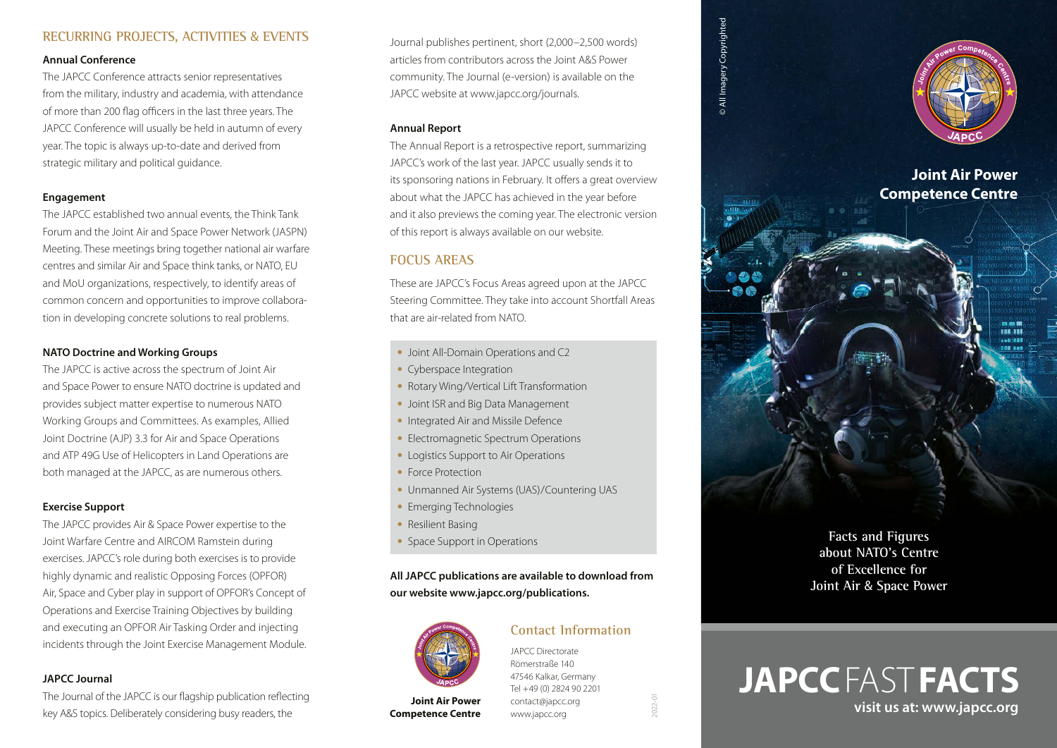## **RECURRING PROJECTS, ACTIVITIES** & **EVENTS**

#### **Annual Conference**

The JAPCC Conference attracts senior representatives from the military, industry and academia, with attendance of more than 200 flag officers in the last three years. The JAPCC Conference will usually be held in autumn of every year. The topic is always up-to-date and derived from strategic military and political guidance.

#### **Engagement**

The JAPCC established two annual events, the Think Tank Forum and the Joint Air and Space Power Network (JASPN) Meeting. These meetings bring together national air warfare centres and similar Air and Space think tanks, or NATO, EU and MoU organizations, respectively, to identify areas of common concern and opportunities to improve collaboration in developing concrete solutions to real problems.

### **NATO Doctrine and Working Groups**

The JAPCC is active across the spectrum of Joint Air and Space Power to ensure NATO doctrine is updated and provides subject matter expertise to numerous NATO Working Groups and Committees. As examples, Allied Joint Doctrine (AJP) 3.3 for Air and Space Operations and ATP 49G Use of Helicopters in Land Operations are both managed at the JAPCC, as are numerous others.

## **Exercise Support**

The JAPCC provides Air & Space Power expertise to the Joint Warfare Centre and AIRCOM Ramstein during exercises. JAPCC's role during both exercises is to provide highly dynamic and realistic Opposing Forces (OPFOR) Air, Space and Cyber play in support of OPFOR's Concept of Operations and Exercise Training Objectives by building and executing an OPFOR Air Tasking Order and injecting incidents through the Joint Exercise Management Module.

#### **JAPCC Journal**

The Journal of the JAPCC is our flagship publication reflecting key A&S topics. Deliberately considering busy readers, the

Journal publishes pertinent, short (2,000–2,500 words) articles from contributors across the Joint A&S Power community. The Journal (e-version) is available on the JAPCC website at [www.japcc.org/](http://www.japcc.org/journals)journals.

#### **Annual Report**

The Annual Report is a retrospective report, summarizing JAPCC's work of the last year. JAPCC usually sends it to its sponsoring nations in February. It offers a great overview about what the JAPCC has achieved in the year before and it also previews the coming year. The electronic version of this report is always available on our website.

## **FOCUS AREAS**

These are JAPCC's Focus Areas agreed upon at the JAPCC Steering Committee. They take into account Shortfall Areas that are air-related from NATO.

- **•** Joint All-Domain Operations and C2
- **•** Cyberspace Integration
- **•** Rotary Wing/Vertical Lift Transformation
- **•** Joint ISR and Big Data Management
- **•** Integrated Air and Missile Defence
- **•** Electromagnetic Spectrum Operations
- **•** Logistics Support to Air Operations
- **•** Force Protection
- **•** Unmanned Air Systems (UAS)/Countering UAS
- **•** Emerging Technologies
- **•** Resilient Basing
- **•** Space Support in Operations

## **All JAPCC publications are available to download from our website [www.japcc.org/publications](http://www.japcc.org/publications).**



**Joint Air Power [Competence Centre](http://www.japcc.org)**

JAPCC Directorate Römerstraße 140 47546 Kalkar, Germany Tel +49 (0) 2824 90 2201 [contact@japcc.org](mailto:contact%40japcc.org?subject=) [www.japcc.org](http://www.japcc.org)

**Contact Information**

2022-01

© All Imagery Copyrighted

<sup>©</sup> All Imagery Copyrighted



**Facts and Figures about NATO's Centre of Excellence for Joint Air** & **Space Power**